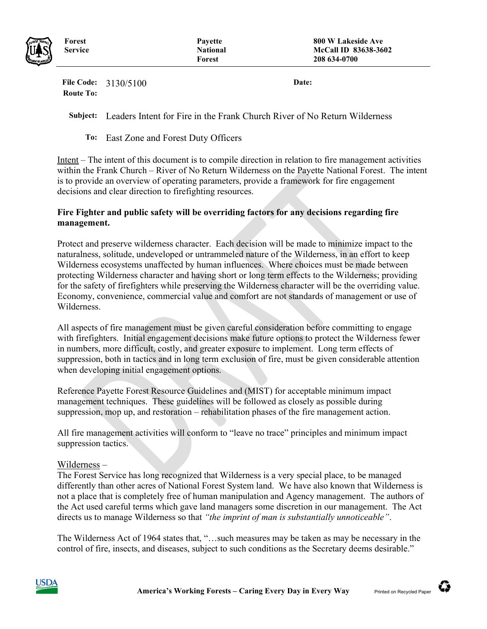

Forest Service Payette National Forest

800 W Lakeside Ave McCall ID 83638-3602 208 634-0700

File Code: 3130/5100 Date: Route To:

Subject: Leaders Intent for Fire in the Frank Church River of No Return Wilderness

To: East Zone and Forest Duty Officers

is to provide an overview of operating parameters, provide a framework for fire engagement decisions and clear direction to firefighting resources. Intent – The intent of this document is to compile direction in relation to fire management activities within the Frank Church – River of No Return Wilderness on the Payette National Forest. The intent

# Fire Fighter and public safety will be overriding factors for any decisions regarding fire management.

Protect and preserve wilderness character. Each decision will be made to minimize impact to the naturalness, solitude, undeveloped or untrammeled nature of the Wilderness, in an effort to keep Wilderness ecosystems unaffected by human influences. Where choices must be made between protecting Wilderness character and having short or long term effects to the Wilderness; providing for the safety of firefighters while preserving the Wilderness character will be the overriding value. Economy, convenience, commercial value and comfort are not standards of management or use of Wilderness.

All aspects of fire management must be given careful consideration before committing to engage with firefighters. Initial engagement decisions make future options to protect the Wilderness fewer in numbers, more difficult, costly, and greater exposure to implement. Long term effects of suppression, both in tactics and in long term exclusion of fire, must be given considerable attention when developing initial engagement options.

Reference Payette Forest Resource Guidelines and (MIST) for acceptable minimum impact management techniques. These guidelines will be followed as closely as possible during suppression, mop up, and restoration – rehabilitation phases of the fire management action.

All fire management activities will conform to "leave no trace" principles and minimum impact suppression tactics.

# Wilderness –

The Forest Service has long recognized that Wilderness is a very special place, to be managed differently than other acres of National Forest System land. We have also known that Wilderness is not a place that is completely free of human manipulation and Agency management. The authors of the Act used careful terms which gave land managers some discretion in our management. The Act directs us to manage Wilderness so that "the imprint of man is substantially unnoticeable".

 The Wilderness Act of 1964 states that, "…such measures may be taken as may be necessary in the control of fire, insects, and diseases, subject to such conditions as the Secretary deems desirable."



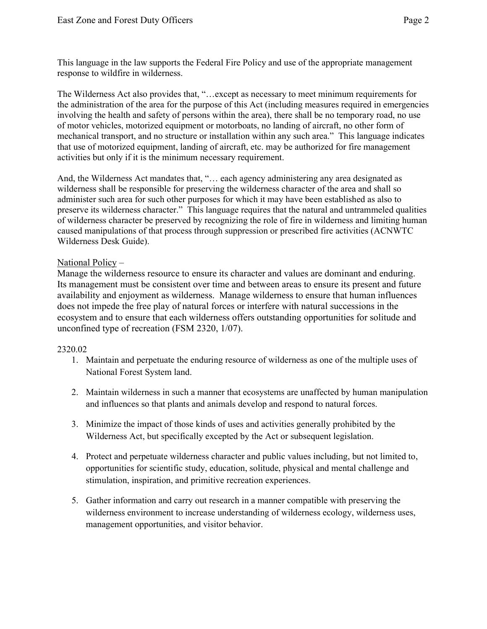This language in the law supports the Federal Fire Policy and use of the appropriate management response to wildfire in wilderness.

 The Wilderness Act also provides that, "…except as necessary to meet minimum requirements for the administration of the area for the purpose of this Act (including measures required in emergencies involving the health and safety of persons within the area), there shall be no temporary road, no use of motor vehicles, motorized equipment or motorboats, no landing of aircraft, no other form of mechanical transport, and no structure or installation within any such area." This language indicates that use of motorized equipment, landing of aircraft, etc. may be authorized for fire management activities but only if it is the minimum necessary requirement.

 And, the Wilderness Act mandates that, "… each agency administering any area designated as wilderness shall be responsible for preserving the wilderness character of the area and shall so administer such area for such other purposes for which it may have been established as also to preserve its wilderness character." This language requires that the natural and untrammeled qualities of wilderness character be preserved by recognizing the role of fire in wilderness and limiting human caused manipulations of that process through suppression or prescribed fire activities (ACNWTC Wilderness Desk Guide).

# National Policy –

 Manage the wilderness resource to ensure its character and values are dominant and enduring. Its management must be consistent over time and between areas to ensure its present and future availability and enjoyment as wilderness. Manage wilderness to ensure that human influences does not impede the free play of natural forces or interfere with natural successions in the ecosystem and to ensure that each wilderness offers outstanding opportunities for solitude and unconfined type of recreation (FSM 2320, 1/07).

# 2320.02

- 1. Maintain and perpetuate the enduring resource of wilderness as one of the multiple uses of National Forest System land.
- 2. Maintain wilderness in such a manner that ecosystems are unaffected by human manipulation and influences so that plants and animals develop and respond to natural forces.
- 3. Minimize the impact of those kinds of uses and activities generally prohibited by the Wilderness Act, but specifically excepted by the Act or subsequent legislation.
- 4. Protect and perpetuate wilderness character and public values including, but not limited to, opportunities for scientific study, education, solitude, physical and mental challenge and stimulation, inspiration, and primitive recreation experiences.
- 5. Gather information and carry out research in a manner compatible with preserving the wilderness environment to increase understanding of wilderness ecology, wilderness uses, management opportunities, and visitor behavior.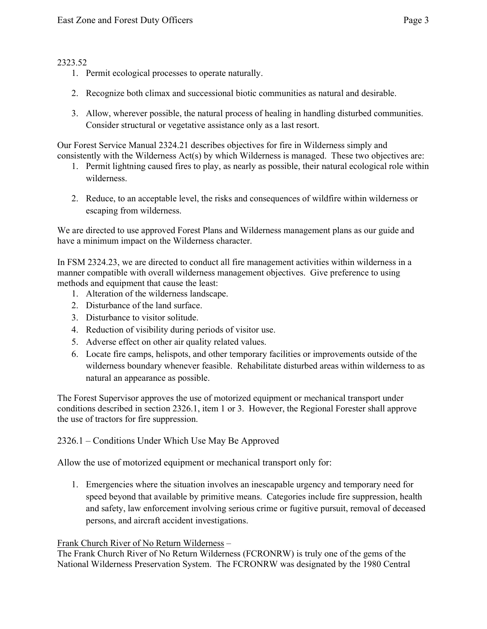## 2323.52

- 1. Permit ecological processes to operate naturally.
- 2. Recognize both climax and successional biotic communities as natural and desirable.
- 3. Allow, wherever possible, the natural process of healing in handling disturbed communities. Consider structural or vegetative assistance only as a last resort.

 Our Forest Service Manual 2324.21 describes objectives for fire in Wilderness simply and consistently with the Wilderness Act(s) by which Wilderness is managed. These two objectives are:

- 1. Permit lightning caused fires to play, as nearly as possible, their natural ecological role within wilderness.
- 2. Reduce, to an acceptable level, the risks and consequences of wildfire within wilderness or escaping from wilderness.

 We are directed to use approved Forest Plans and Wilderness management plans as our guide and have a minimum impact on the Wilderness character.

 In FSM 2324.23, we are directed to conduct all fire management activities within wilderness in a manner compatible with overall wilderness management objectives. Give preference to using methods and equipment that cause the least:

- 1. Alteration of the wilderness landscape.
- 2. Disturbance of the land surface.
- 3. Disturbance to visitor solitude.
- 4. Reduction of visibility during periods of visitor use.
- 5. Adverse effect on other air quality related values.
- 6. Locate fire camps, helispots, and other temporary facilities or improvements outside of the wilderness boundary whenever feasible. Rehabilitate disturbed areas within wilderness to as natural an appearance as possible.

 The Forest Supervisor approves the use of motorized equipment or mechanical transport under conditions described in section 2326.1, item 1 or 3. However, the Regional Forester shall approve the use of tractors for fire suppression.

# 2326.1 – Conditions Under Which Use May Be Approved

Allow the use of motorized equipment or mechanical transport only for:

 1. Emergencies where the situation involves an inescapable urgency and temporary need for speed beyond that available by primitive means. Categories include fire suppression, health and safety, law enforcement involving serious crime or fugitive pursuit, removal of deceased persons, and aircraft accident investigations.

# Frank Church River of No Return Wilderness –

 The Frank Church River of No Return Wilderness (FCRONRW) is truly one of the gems of the National Wilderness Preservation System. The FCRONRW was designated by the 1980 Central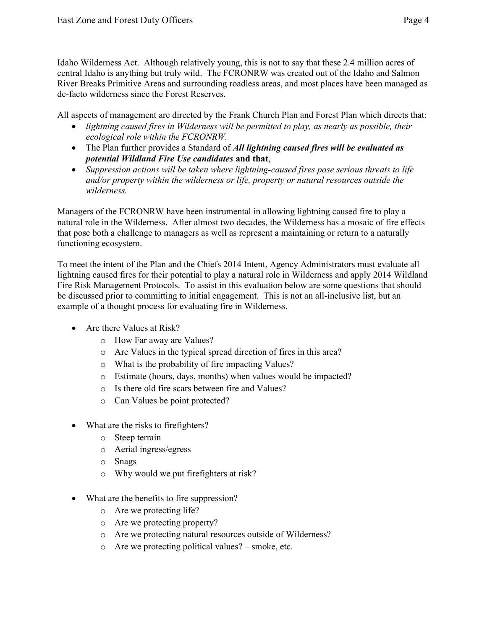Idaho Wilderness Act. Although relatively young, this is not to say that these 2.4 million acres of central Idaho is anything but truly wild. The FCRONRW was created out of the Idaho and Salmon River Breaks Primitive Areas and surrounding roadless areas, and most places have been managed as de-facto wilderness since the Forest Reserves.

All aspects of management are directed by the Frank Church Plan and Forest Plan which directs that:

- lightning caused fires in Wilderness will be permitted to play, as nearly as possible, their ecological role within the FCRONRW.
- The Plan further provides a Standard of *All lightning caused fires will be evaluated as* potential Wildland Fire Use candidates and that,
- Suppression actions will be taken where lightning-caused fires pose serious threats to life and/or property within the wilderness or life, property or natural resources outside the wilderness.

 Managers of the FCRONRW have been instrumental in allowing lightning caused fire to play a natural role in the Wilderness. After almost two decades, the Wilderness has a mosaic of fire effects that pose both a challenge to managers as well as represent a maintaining or return to a naturally functioning ecosystem.

 To meet the intent of the Plan and the Chiefs 2014 Intent, Agency Administrators must evaluate all lightning caused fires for their potential to play a natural role in Wilderness and apply 2014 Wildland Fire Risk Management Protocols. To assist in this evaluation below are some questions that should be discussed prior to committing to initial engagement. This is not an all-inclusive list, but an example of a thought process for evaluating fire in Wilderness.

- Are there Values at Risk?
	- o How Far away are Values?
	- o Are Values in the typical spread direction of fires in this area?
	- o What is the probability of fire impacting Values?
	- o Estimate (hours, days, months) when values would be impacted?
	- o Is there old fire scars between fire and Values?
	- o Can Values be point protected?
- What are the risks to firefighters?
	- o Steep terrain
	- o Aerial ingress/egress
	- o Snags
	- o Why would we put firefighters at risk?
- What are the benefits to fire suppression?
	- o Are we protecting life?
	- o Are we protecting property?
	- o Are we protecting natural resources outside of Wilderness?
	- o Are we protecting political values? smoke, etc.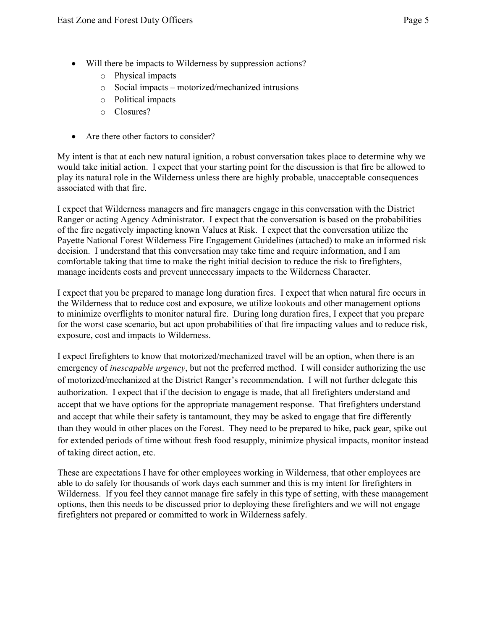- 
- Will there be impacts to Wilderness by suppression actions? o Physical impacts
	- o Social impacts motorized/mechanized intrusions
	- o Political impacts
	- o Closures?
- Are there other factors to consider?

 My intent is that at each new natural ignition, a robust conversation takes place to determine why we would take initial action. I expect that your starting point for the discussion is that fire be allowed to play its natural role in the Wilderness unless there are highly probable, unacceptable consequences associated with that fire.

 I expect that Wilderness managers and fire managers engage in this conversation with the District Ranger or acting Agency Administrator. I expect that the conversation is based on the probabilities of the fire negatively impacting known Values at Risk. I expect that the conversation utilize the Payette National Forest Wilderness Fire Engagement Guidelines (attached) to make an informed risk decision. I understand that this conversation may take time and require information, and I am comfortable taking that time to make the right initial decision to reduce the risk to firefighters, manage incidents costs and prevent unnecessary impacts to the Wilderness Character.

 I expect that you be prepared to manage long duration fires. I expect that when natural fire occurs in the Wilderness that to reduce cost and exposure, we utilize lookouts and other management options to minimize overflights to monitor natural fire. During long duration fires, I expect that you prepare for the worst case scenario, but act upon probabilities of that fire impacting values and to reduce risk, exposure, cost and impacts to Wilderness.

 I expect firefighters to know that motorized/mechanized travel will be an option, when there is an emergency of inescapable urgency, but not the preferred method. I will consider authorizing the use of motorized/mechanized at the District Ranger's recommendation. I will not further delegate this authorization. I expect that if the decision to engage is made, that all firefighters understand and accept that we have options for the appropriate management response. That firefighters understand and accept that while their safety is tantamount, they may be asked to engage that fire differently than they would in other places on the Forest. They need to be prepared to hike, pack gear, spike out for extended periods of time without fresh food resupply, minimize physical impacts, monitor instead of taking direct action, etc.

 These are expectations I have for other employees working in Wilderness, that other employees are able to do safely for thousands of work days each summer and this is my intent for firefighters in Wilderness. If you feel they cannot manage fire safely in this type of setting, with these management options, then this needs to be discussed prior to deploying these firefighters and we will not engage firefighters not prepared or committed to work in Wilderness safely.